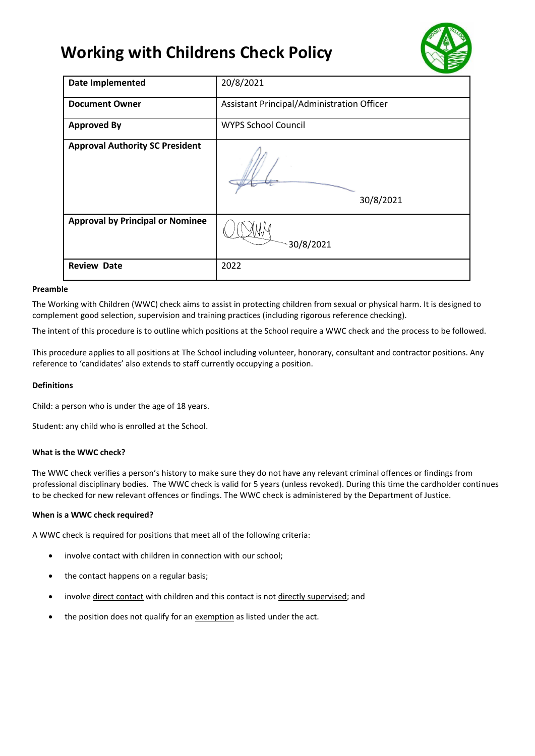# **Working with Childrens Check Policy**



| <b>Date Implemented</b>                 | 20/8/2021                                  |
|-----------------------------------------|--------------------------------------------|
| <b>Document Owner</b>                   | Assistant Principal/Administration Officer |
| <b>Approved By</b>                      | <b>WYPS School Council</b>                 |
| <b>Approval Authority SC President</b>  | 30/8/2021                                  |
| <b>Approval by Principal or Nominee</b> | 30/8/2021                                  |
| <b>Review Date</b>                      | 2022                                       |

# **Preamble**

The Working with Children (WWC) check aims to assist in protecting children from sexual or physical harm. It is designed to complement good selection, supervision and training practices (including rigorous reference checking).

The intent of this procedure is to outline which positions at the School require a WWC check and the process to be followed.

This procedure applies to all positions at The School including volunteer, honorary, consultant and contractor positions. Any reference to 'candidates' also extends to staff currently occupying a position.

# **Definitions**

Child: a person who is under the age of 18 years.

Student: any child who is enrolled at the School.

#### **What is the WWC check?**

The WWC check verifies a person's history to make sure they do not have any relevant criminal offences or findings from professional disciplinary bodies. The WWC check is valid for 5 years (unless revoked). During this time the cardholder continues to be checked for new relevant offences or findings. The WWC check is administered by the Department of Justice.

#### **When is a WWC check required?**

A WWC check is required for positions that meet all of the following criteria:

- involve contact with children in connection with our school;
- the contact happens on a regular basis;
- involv[e direct contact](http://www.justice.vic.gov.au/wps/wcm/connect/Working+With+Children/Home/Application+Process/Who+Needs+to+Apply/) with children and this contact is no[t directly supervised;](http://www.justice.vic.gov.au/wps/wcm/connect/Working+With+Children/Home/Application+Process/Who+Needs+to+Apply/) and
- the position does not qualify for an [exemption](http://www.justice.vic.gov.au/wps/wcm/connect/Working+With+Children/Home/Application+Process/Who+Needs+to+Apply/WWCC+-+Exemptions+from+Applying+for+a+Check) as listed under the act.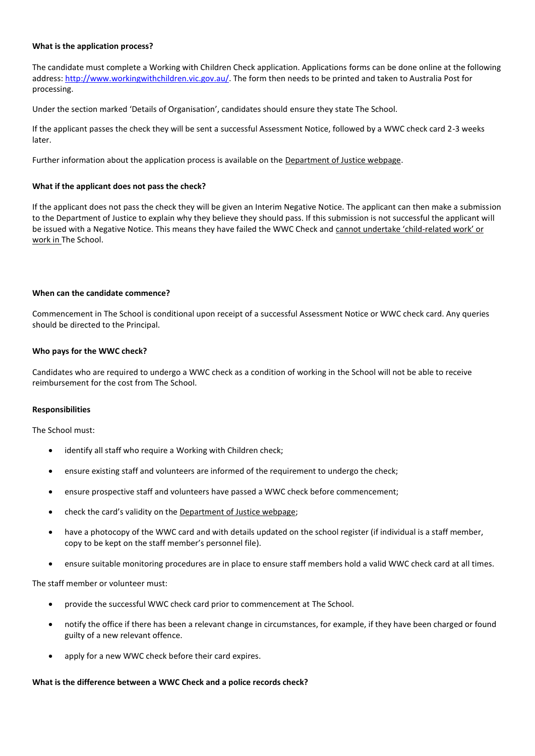#### **What is the application process?**

The candidate must complete a Working with Children Check application. Applications forms can be done online at the following address[: http://www.workingwithchildren.vic.gov.au/.](http://www.workingwithchildren.vic.gov.au/) The form then needs to be printed and taken to Australia Post for processing.

Under the section marked 'Details of Organisation', candidates should ensure they state The School.

If the applicant passes the check they will be sent a successful Assessment Notice, followed by a WWC check card 2-3 weeks later.

Further information about the application process is available on the [Department of Justice webpage.](https://online.justice.vic.gov.au/wwc/wwc-online-check)

#### **What if the applicant does not pass the check?**

If the applicant does not pass the check they will be given an Interim Negative Notice. The applicant can then make a submission to the Department of Justice to explain why they believe they should pass. If this submission is not successful the applicant will be issued with a Negative Notice. This means they have failed the WWC Check and cannot undertake 'child-related work' or work in The School.

## **When can the candidate commence?**

Commencement in The School is conditional upon receipt of a successful Assessment Notice or WWC check card. Any queries should be directed to the Principal.

## **Who pays for the WWC check?**

Candidates who are required to undergo a WWC check as a condition of working in the School will not be able to receive reimbursement for the cost from The School.

#### **Responsibilities**

The School must:

- identify all staff who require a Working with Children check;
- ensure existing staff and volunteers are informed of the requirement to undergo the check;
- ensure prospective staff and volunteers have passed a WWC check before commencement;
- check the card's validity on the [Department of Justice webpage;](https://online.justice.vic.gov.au/wwc/wwc-online-check)
- have a photocopy of the WWC card and with details updated on the school register (if individual is a staff member, copy to be kept on the staff member's personnel file).
- ensure suitable monitoring procedures are in place to ensure staff members hold a valid WWC check card at all times.

The staff member or volunteer must:

- provide the successful WWC check card prior to commencement at The School.
- notify the office if there has been a relevant change in circumstances, for example, if they have been charged or found guilty of a new relevant offence.
- apply for a new WWC check before their card expires.

# **What is the difference between a WWC Check and a police records check?**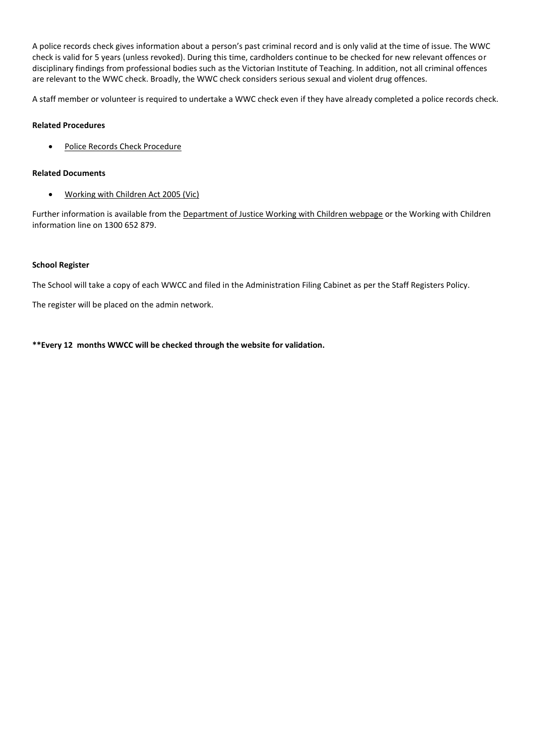A police records check gives information about a person's past criminal record and is only valid at the time of issue. The WWC check is valid for 5 years (unless revoked). During this time, cardholders continue to be checked for new relevant offences or disciplinary findings from professional bodies such as the Victorian Institute of Teaching. In addition, not all criminal offences are relevant to the WWC check. Broadly, the WWC check considers serious sexual and violent drug offences.

A staff member or volunteer is required to undertake a WWC check even if they have already completed a police records check.

## **Related Procedures**

• [Police Records Check Procedure](http://www.adm.monash.edu.au/workplace-policy/conduct-compliance/police-records/procedures.html) 

## **Related Documents**

• [Working with Children Act 2005 \(Vic\)](http://www.justice.vic.gov.au/wps/wcm/connect/Working+With+Children/Home/WWCC+-+Working+with+Children+Act+2005)

Further information is available from the [Department of Justice Working with Children webpage](http://www.justice.vic.gov.au/workingwithchildren) or the Working with Children information line on 1300 652 879.

## **School Register**

The School will take a copy of each WWCC and filed in the Administration Filing Cabinet as per the Staff Registers Policy.

The register will be placed on the admin network.

**\*\*Every 12 months WWCC will be checked through the website for validation.**